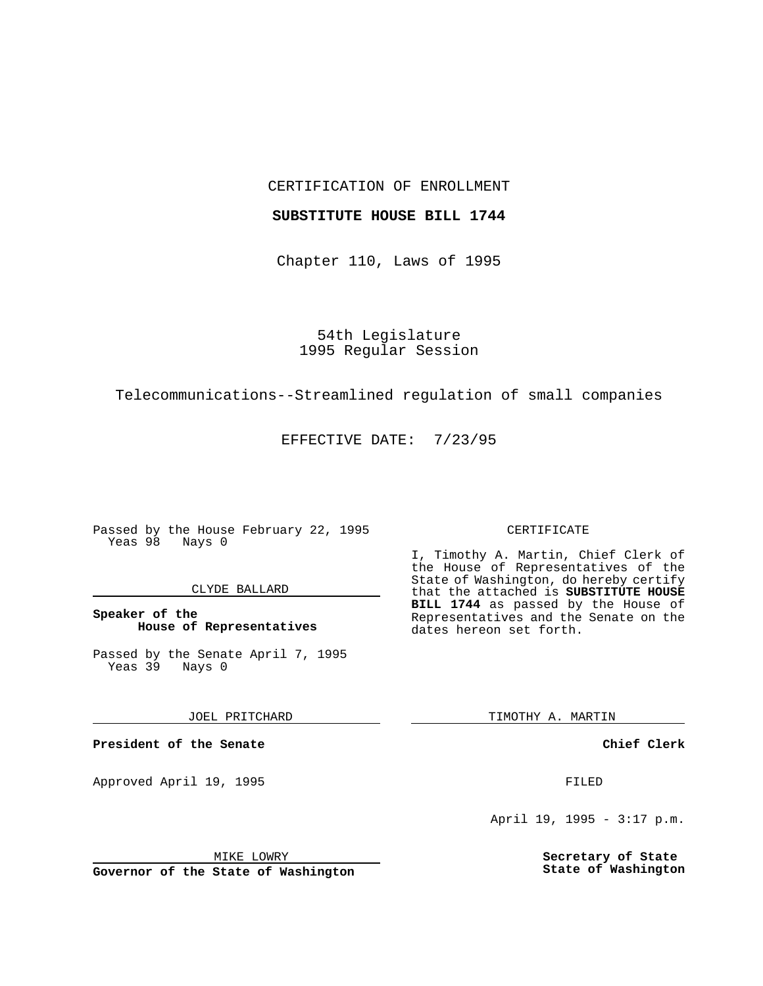CERTIFICATION OF ENROLLMENT

## **SUBSTITUTE HOUSE BILL 1744**

Chapter 110, Laws of 1995

54th Legislature 1995 Regular Session

Telecommunications--Streamlined regulation of small companies

EFFECTIVE DATE: 7/23/95

Passed by the House February 22, 1995 Yeas 98 Nays 0

## CLYDE BALLARD

**Speaker of the House of Representatives**

Passed by the Senate April 7, 1995<br>Yeas 39 Nays 0 Yeas 39

JOEL PRITCHARD

**President of the Senate**

Approved April 19, 1995 FILED

## MIKE LOWRY

**Governor of the State of Washington**

#### CERTIFICATE

I, Timothy A. Martin, Chief Clerk of the House of Representatives of the State of Washington, do hereby certify that the attached is **SUBSTITUTE HOUSE BILL 1744** as passed by the House of Representatives and the Senate on the dates hereon set forth.

TIMOTHY A. MARTIN

## **Chief Clerk**

April 19, 1995 - 3:17 p.m.

**Secretary of State State of Washington**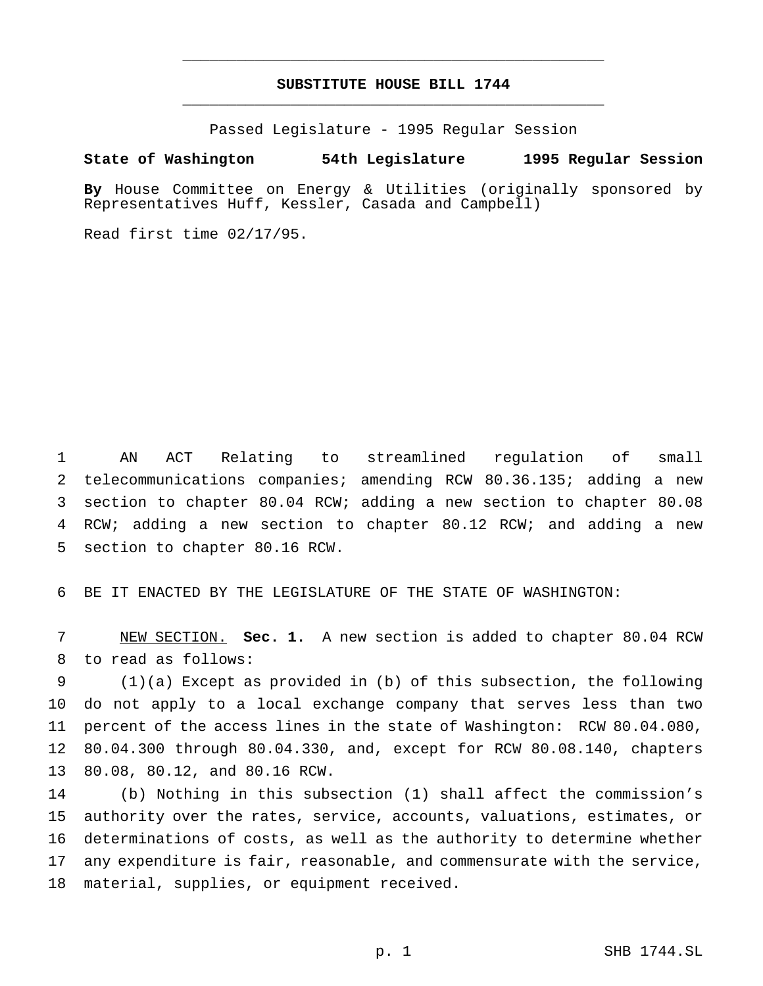# **SUBSTITUTE HOUSE BILL 1744** \_\_\_\_\_\_\_\_\_\_\_\_\_\_\_\_\_\_\_\_\_\_\_\_\_\_\_\_\_\_\_\_\_\_\_\_\_\_\_\_\_\_\_\_\_\_\_

\_\_\_\_\_\_\_\_\_\_\_\_\_\_\_\_\_\_\_\_\_\_\_\_\_\_\_\_\_\_\_\_\_\_\_\_\_\_\_\_\_\_\_\_\_\_\_

Passed Legislature - 1995 Regular Session

#### **State of Washington 54th Legislature 1995 Regular Session**

**By** House Committee on Energy & Utilities (originally sponsored by Representatives Huff, Kessler, Casada and Campbell)

Read first time 02/17/95.

 AN ACT Relating to streamlined regulation of small telecommunications companies; amending RCW 80.36.135; adding a new section to chapter 80.04 RCW; adding a new section to chapter 80.08 RCW; adding a new section to chapter 80.12 RCW; and adding a new section to chapter 80.16 RCW.

BE IT ENACTED BY THE LEGISLATURE OF THE STATE OF WASHINGTON:

 NEW SECTION. **Sec. 1.** A new section is added to chapter 80.04 RCW to read as follows:

 (1)(a) Except as provided in (b) of this subsection, the following do not apply to a local exchange company that serves less than two percent of the access lines in the state of Washington: RCW 80.04.080, 80.04.300 through 80.04.330, and, except for RCW 80.08.140, chapters 80.08, 80.12, and 80.16 RCW.

 (b) Nothing in this subsection (1) shall affect the commission's authority over the rates, service, accounts, valuations, estimates, or determinations of costs, as well as the authority to determine whether any expenditure is fair, reasonable, and commensurate with the service, material, supplies, or equipment received.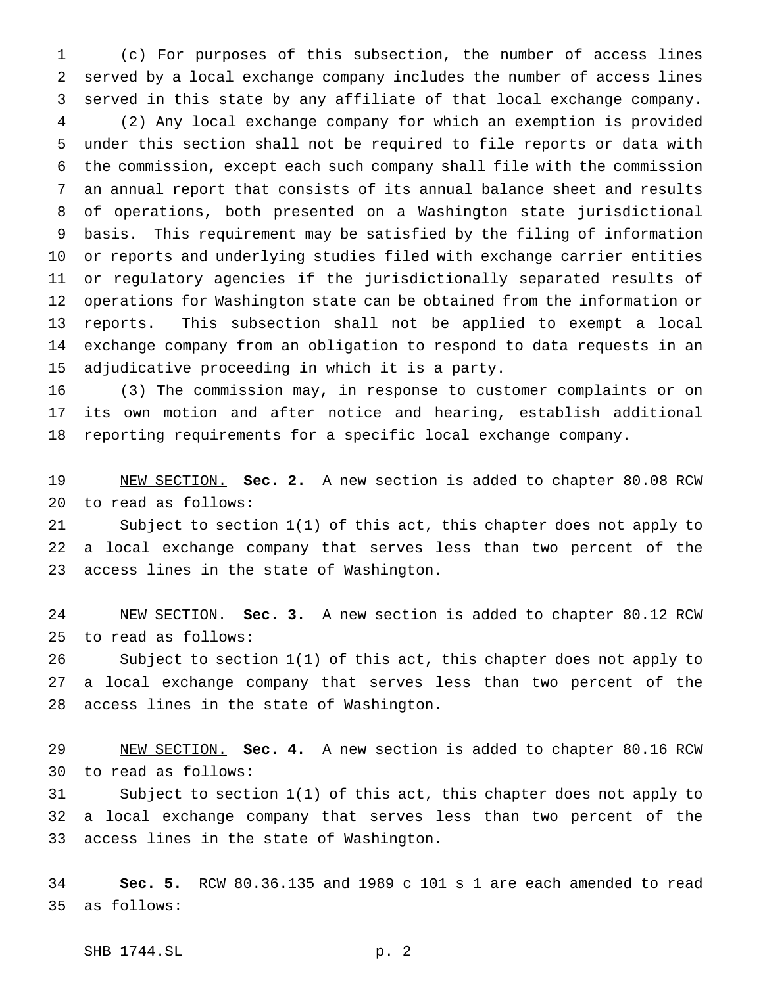(c) For purposes of this subsection, the number of access lines served by a local exchange company includes the number of access lines served in this state by any affiliate of that local exchange company. (2) Any local exchange company for which an exemption is provided under this section shall not be required to file reports or data with the commission, except each such company shall file with the commission an annual report that consists of its annual balance sheet and results of operations, both presented on a Washington state jurisdictional basis. This requirement may be satisfied by the filing of information or reports and underlying studies filed with exchange carrier entities or regulatory agencies if the jurisdictionally separated results of operations for Washington state can be obtained from the information or reports. This subsection shall not be applied to exempt a local exchange company from an obligation to respond to data requests in an adjudicative proceeding in which it is a party.

 (3) The commission may, in response to customer complaints or on its own motion and after notice and hearing, establish additional reporting requirements for a specific local exchange company.

 NEW SECTION. **Sec. 2.** A new section is added to chapter 80.08 RCW to read as follows:

 Subject to section 1(1) of this act, this chapter does not apply to a local exchange company that serves less than two percent of the access lines in the state of Washington.

 NEW SECTION. **Sec. 3.** A new section is added to chapter 80.12 RCW to read as follows:

 Subject to section 1(1) of this act, this chapter does not apply to a local exchange company that serves less than two percent of the access lines in the state of Washington.

 NEW SECTION. **Sec. 4.** A new section is added to chapter 80.16 RCW to read as follows:

 Subject to section 1(1) of this act, this chapter does not apply to a local exchange company that serves less than two percent of the access lines in the state of Washington.

 **Sec. 5.** RCW 80.36.135 and 1989 c 101 s 1 are each amended to read as follows:

SHB 1744.SL p. 2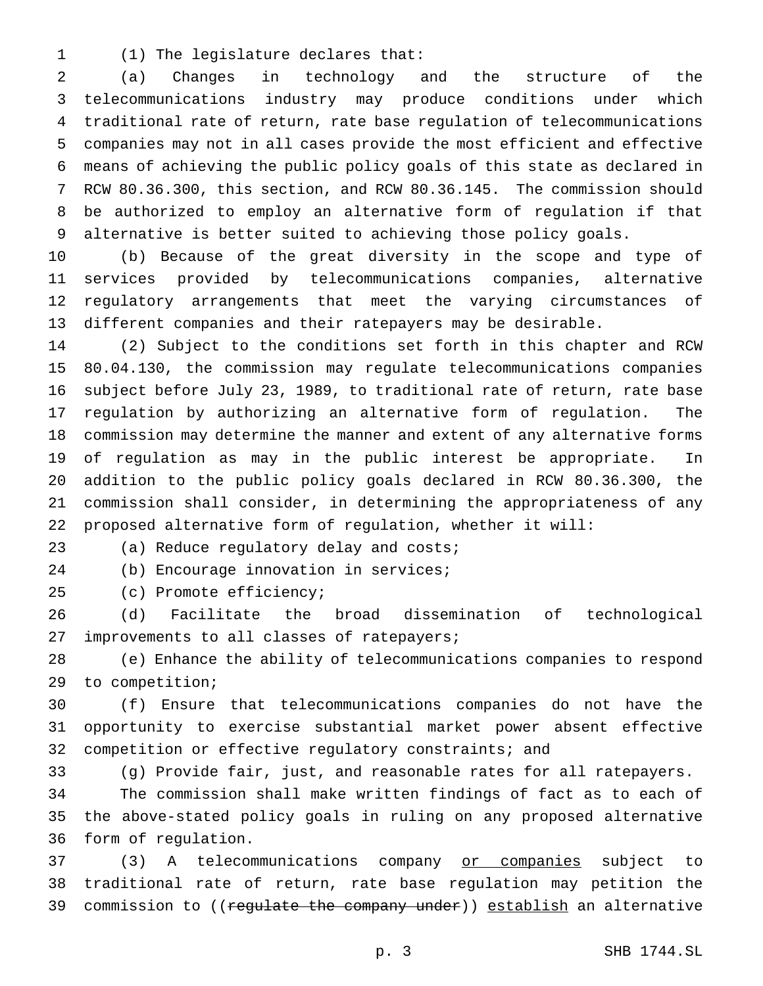(1) The legislature declares that:

 (a) Changes in technology and the structure of the telecommunications industry may produce conditions under which traditional rate of return, rate base regulation of telecommunications companies may not in all cases provide the most efficient and effective means of achieving the public policy goals of this state as declared in RCW 80.36.300, this section, and RCW 80.36.145. The commission should be authorized to employ an alternative form of regulation if that alternative is better suited to achieving those policy goals.

 (b) Because of the great diversity in the scope and type of services provided by telecommunications companies, alternative regulatory arrangements that meet the varying circumstances of different companies and their ratepayers may be desirable.

 (2) Subject to the conditions set forth in this chapter and RCW 80.04.130, the commission may regulate telecommunications companies subject before July 23, 1989, to traditional rate of return, rate base regulation by authorizing an alternative form of regulation. The commission may determine the manner and extent of any alternative forms of regulation as may in the public interest be appropriate. In addition to the public policy goals declared in RCW 80.36.300, the commission shall consider, in determining the appropriateness of any proposed alternative form of regulation, whether it will:

(a) Reduce regulatory delay and costs;

(b) Encourage innovation in services;

(c) Promote efficiency;

 (d) Facilitate the broad dissemination of technological 27 improvements to all classes of ratepayers;

 (e) Enhance the ability of telecommunications companies to respond to competition;

 (f) Ensure that telecommunications companies do not have the opportunity to exercise substantial market power absent effective competition or effective regulatory constraints; and

(g) Provide fair, just, and reasonable rates for all ratepayers.

 The commission shall make written findings of fact as to each of the above-stated policy goals in ruling on any proposed alternative form of regulation.

 (3) A telecommunications company or companies subject to traditional rate of return, rate base regulation may petition the 39 commission to ((regulate the company under)) establish an alternative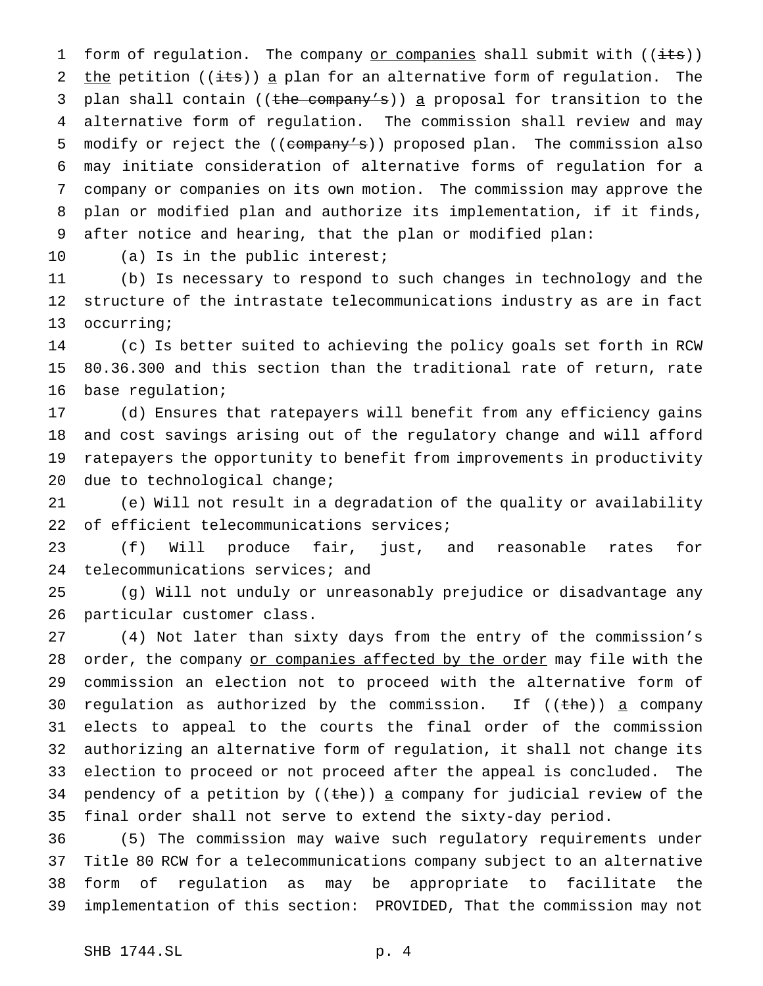1 form of regulation. The company or companies shall submit with  $((\pm ts))$ 2 the petition (( $\frac{1}{1+s}$ ) a plan for an alternative form of regulation. The 3 plan shall contain ((the company's)) a proposal for transition to the alternative form of regulation. The commission shall review and may 5 modify or reject the ((company's)) proposed plan. The commission also may initiate consideration of alternative forms of regulation for a company or companies on its own motion. The commission may approve the plan or modified plan and authorize its implementation, if it finds, after notice and hearing, that the plan or modified plan:

(a) Is in the public interest;

 (b) Is necessary to respond to such changes in technology and the structure of the intrastate telecommunications industry as are in fact occurring;

 (c) Is better suited to achieving the policy goals set forth in RCW 80.36.300 and this section than the traditional rate of return, rate base regulation;

 (d) Ensures that ratepayers will benefit from any efficiency gains and cost savings arising out of the regulatory change and will afford ratepayers the opportunity to benefit from improvements in productivity due to technological change;

 (e) Will not result in a degradation of the quality or availability 22 of efficient telecommunications services;

 (f) Will produce fair, just, and reasonable rates for 24 telecommunications services; and

 (g) Will not unduly or unreasonably prejudice or disadvantage any particular customer class.

 (4) Not later than sixty days from the entry of the commission's 28 order, the company or companies affected by the order may file with the commission an election not to proceed with the alternative form of 30 regulation as authorized by the commission. If  $((the h e))$  a company elects to appeal to the courts the final order of the commission authorizing an alternative form of regulation, it shall not change its election to proceed or not proceed after the appeal is concluded. The 34 pendency of a petition by  $((the))$  a company for judicial review of the final order shall not serve to extend the sixty-day period.

 (5) The commission may waive such regulatory requirements under Title 80 RCW for a telecommunications company subject to an alternative form of regulation as may be appropriate to facilitate the implementation of this section: PROVIDED, That the commission may not